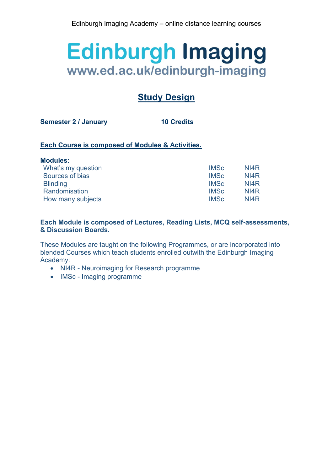# **Study Design**

**Semester 2 / January 10 Credits**

# **Each Course is composed of Modules & Activities.**

| <b>Modules:</b>    |             |      |
|--------------------|-------------|------|
| What's my question | <b>IMSc</b> | NI4R |
| Sources of bias    | <b>IMSc</b> | NI4R |
| <b>Blinding</b>    | <b>IMSc</b> | NI4R |
| Randomisation      | <b>IMSc</b> | NI4R |
| How many subjects  | <b>IMSc</b> | NI4R |

# **Each Module is composed of Lectures, Reading Lists, MCQ self-assessments, & Discussion Boards.**

These Modules are taught on the following Programmes, or are incorporated into blended Courses which teach students enrolled outwith the Edinburgh Imaging Academy:

- NI4R Neuroimaging for Research programme
- IMSc Imaging programme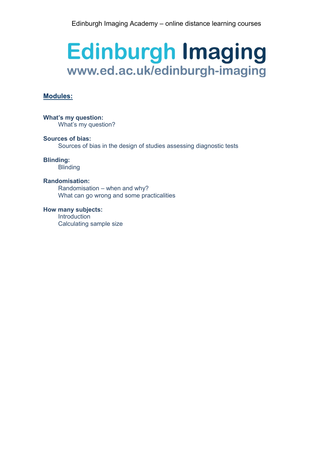# **Modules:**

**What's my question:** What's my question?

**Sources of bias:** Sources of bias in the design of studies assessing diagnostic tests

**Blinding:**

**Blinding** 

#### **Randomisation:**

Randomisation – when and why? What can go wrong and some practicalities

**How many subjects:** Introduction Calculating sample size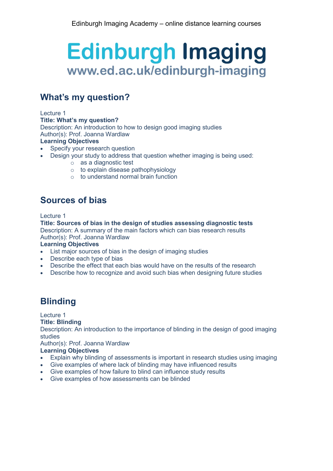# **What's my question?**

#### Lecture 1

**Title: What's my question?**

Description: An introduction to how to design good imaging studies Author(s): Prof. Joanna Wardlaw

# **Learning Objectives**

- Specify your research question
	- Design your study to address that question whether imaging is being used:
		- o as a diagnostic test
		- $\circ$  to explain disease pathophysiology
		- o to understand normal brain function

# **Sources of bias**

Lecture 1

**Title: Sources of bias in the design of studies assessing diagnostic tests** Description: A summary of the main factors which can bias research results Author(s): Prof. Joanna Wardlaw

# **Learning Objectives**

- List major sources of bias in the design of imaging studies
- Describe each type of bias
- Describe the effect that each bias would have on the results of the research
- Describe how to recognize and avoid such bias when designing future studies

# **Blinding**

# Lecture 1

# **Title: Blinding**

Description: An introduction to the importance of blinding in the design of good imaging studies

Author(s): Prof. Joanna Wardlaw

# **Learning Objectives**

- Explain why blinding of assessments is important in research studies using imaging
- Give examples of where lack of blinding may have influenced results
- Give examples of how failure to blind can influence study results
- Give examples of how assessments can be blinded